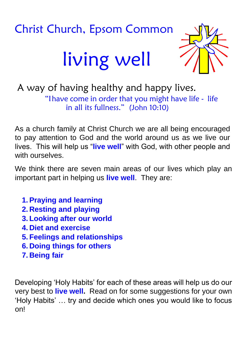# Christ Church, Epsom Common living well



A way of having healthy and happy lives. "Ihave come in order that you might have life - life in all its fullness." (John 10:10)

As a church family at Christ Church we are all being encouraged to pay attention to God and the world around us as we live our lives. This will help us "**live well**" with God, with other people and with ourselves

We think there are seven main areas of our lives which play an important part in helping us **live well**. They are:

- **1. Praying and learning**
- **2. Resting and playing**
- **3. Looking after our world**
- **4. Diet and exercise**
- **5. Feelings and relationships**
- **6. Doing things for others**
- **7. Being fair**

Developing 'Holy Habits' for each of these areas will help us do our very best to **live well.** Read on for some suggestions for your own 'Holy Habits' … try and decide which ones you would like to focus on!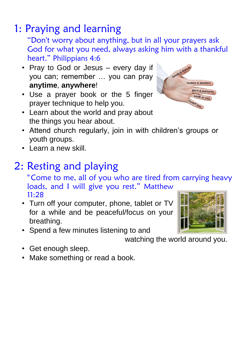# 1: Praying and learning

"Don't worry about anything, but in all your prayers ask God for what you need, always asking him with a thankful heart." Philippians 4:6

- Pray to God or Jesus every day if you can; remember … you can pray **anytime**, **anywhere**!
- Use a prayer book or the 5 finger prayer technique to help you.



- Learn about the world and pray about the things you hear about.
- Attend church regularly, join in with children's groups or youth groups.
- Learn a new skill.

## 2: Resting and playing

"Come to me, all of you who are tired from carrying heavy loads, and I will give you rest." Matthew 11:28

- Turn off your computer, phone, tablet or TV for a while and be peaceful/focus on your breathing.
- Spend a few minutes listening to and

watching the world around you.

- Get enough sleep.
- Make something or read a book.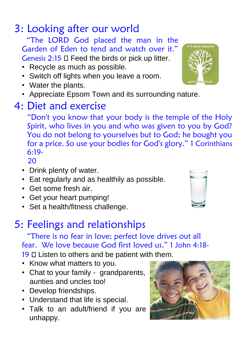# 3: Looking after our world

"The LORD God placed the man in the Garden of Eden to tend and watch over it." Genesis  $2:15 \square$  Feed the birds or pick up litter.

- Recycle as much as possible.
- Switch off lights when you leave a room.
- Water the plants.
- Appreciate Epsom Town and its surrounding nature.

### 4: Diet and exercise

"Don't you know that your body is the temple of the Holy Spirit, who lives in you and who was given to you by God? You do not belong to yourselves but to God; he bought you for a price. So use your bodies for God's glory." 1 Corinthians 6:19-

20

- Drink plenty of water.
- Eat regularly and as healthily as possible.
- Get some fresh air.
- Get your heart pumping!
- Set a health/fitness challenge.

## 5: Feelings and relationships

"There is no fear in love; perfect love drives out all fear. We love because God first loved us." 1 John 4:18- 19 **L** Listen to others and be patient with them.

- Know what matters to you.
- Chat to your family grandparents, aunties and uncles too!
- Develop friendships.
- Understand that life is special.
- Talk to an adult/friend if you are unhappy.





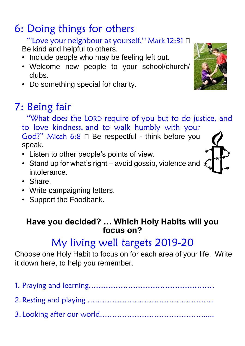# 6: Doing things for others

#### "'Love your neighbour as yourself.'" Mark 12:31

Be kind and helpful to others.

- Include people who may be feeling left out.
- Welcome new people to your school/church/ clubs.
- Do something special for charity.

# 7: Being fair

"What does the LORD require of you but to do justice, and to love kindness, and to walk humbly with your God?" Micah  $6:8 \square$  Be respectful - think before you speak.

- Listen to other people's points of view.
- Stand up for what's right avoid gossip, violence and intolerance.
- Share.
- Write campaigning letters.
- Support the Foodbank.

#### **Have you decided? … Which Holy Habits will you focus on?**

# My living well targets 2019-20

Choose one Holy Habit to focus on for each area of your life. Write it down here, to help you remember.